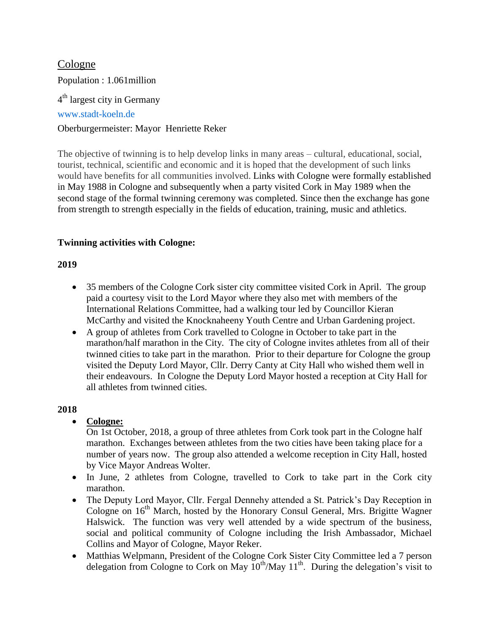# Cologne Population : 1.061million 4<sup>th</sup> largest city in Germany [www.stadt-koeln.de](http://www.stadt-koeln.de/) Oberburgermeister: Mayor Henriette Reker

The objective of twinning is to help develop links in many areas – cultural, educational, social, tourist, technical, scientific and economic and it is hoped that the development of such links would have benefits for all communities involved. Links with Cologne were formally established in May 1988 in Cologne and subsequently when a party visited Cork in May 1989 when the second stage of the formal twinning ceremony was completed. Since then the exchange has gone from strength to strength especially in the fields of education, training, music and athletics.

# **Twinning activities with Cologne:**

# **2019**

- 35 members of the Cologne Cork sister city committee visited Cork in April. The group paid a courtesy visit to the Lord Mayor where they also met with members of the International Relations Committee, had a walking tour led by Councillor Kieran McCarthy and visited the Knocknaheeny Youth Centre and Urban Gardening project.
- A group of athletes from Cork travelled to Cologne in October to take part in the marathon/half marathon in the City. The city of Cologne invites athletes from all of their twinned cities to take part in the marathon. Prior to their departure for Cologne the group visited the Deputy Lord Mayor, Cllr. Derry Canty at City Hall who wished them well in their endeavours. In Cologne the Deputy Lord Mayor hosted a reception at City Hall for all athletes from twinned cities.

## **2018**

## **Cologne:**

On 1st October, 2018, a group of three athletes from Cork took part in the Cologne half marathon. Exchanges between athletes from the two cities have been taking place for a number of years now. The group also attended a welcome reception in City Hall, hosted by Vice Mayor Andreas Wolter.

- In June, 2 athletes from Cologne, travelled to Cork to take part in the Cork city marathon.
- The Deputy Lord Mayor, Cllr. Fergal Dennehy attended a St. Patrick's Day Reception in Cologne on  $16<sup>th</sup>$  March, hosted by the Honorary Consul General, Mrs. Brigitte Wagner Halswick. The function was very well attended by a wide spectrum of the business, social and political community of Cologne including the Irish Ambassador, Michael Collins and Mayor of Cologne, Mayor Reker.
- Matthias Welpmann, President of the Cologne Cork Sister City Committee led a 7 person delegation from Cologne to Cork on May  $10^{th}/$ May  $11^{th}$ . During the delegation's visit to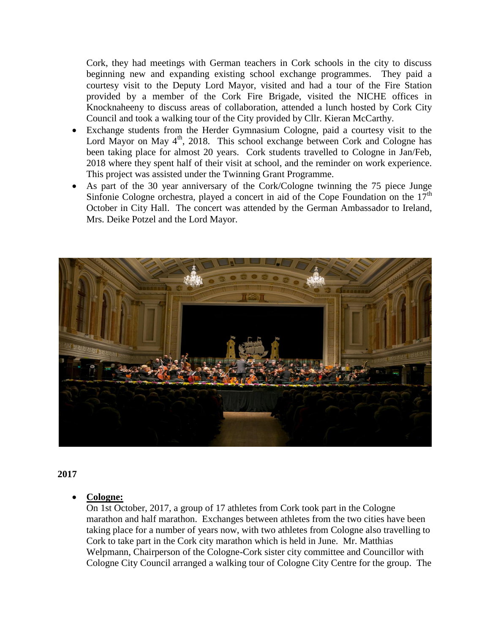Cork, they had meetings with German teachers in Cork schools in the city to discuss beginning new and expanding existing school exchange programmes. They paid a courtesy visit to the Deputy Lord Mayor, visited and had a tour of the Fire Station provided by a member of the Cork Fire Brigade, visited the NICHE offices in Knocknaheeny to discuss areas of collaboration, attended a lunch hosted by Cork City Council and took a walking tour of the City provided by Cllr. Kieran McCarthy.

- Exchange students from the Herder Gymnasium Cologne, paid a courtesy visit to the Lord Mayor on May  $4<sup>th</sup>$ , 2018. This school exchange between Cork and Cologne has been taking place for almost 20 years. Cork students travelled to Cologne in Jan/Feb, 2018 where they spent half of their visit at school, and the reminder on work experience. This project was assisted under the Twinning Grant Programme.
- As part of the 30 year anniversary of the Cork/Cologne twinning the 75 piece Junge Sinfonie Cologne orchestra, played a concert in aid of the Cope Foundation on the  $17<sup>th</sup>$ October in City Hall. The concert was attended by the German Ambassador to Ireland, Mrs. Deike Potzel and the Lord Mayor.



### **2017**

### **Cologne:**

On 1st October, 2017, a group of 17 athletes from Cork took part in the Cologne marathon and half marathon. Exchanges between athletes from the two cities have been taking place for a number of years now, with two athletes from Cologne also travelling to Cork to take part in the Cork city marathon which is held in June. Mr. Matthias Welpmann, Chairperson of the Cologne-Cork sister city committee and Councillor with Cologne City Council arranged a walking tour of Cologne City Centre for the group. The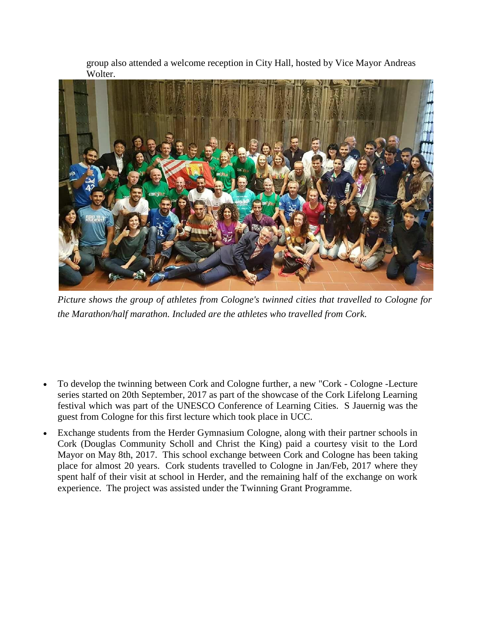group also attended a welcome reception in City Hall, hosted by Vice Mayor Andreas Wolter.



*Picture shows the group of athletes from Cologne's twinned cities that travelled to Cologne for the Marathon/half marathon. Included are the athletes who travelled from Cork.* 

- To develop the twinning between Cork and Cologne further, a new "Cork Cologne -Lecture series started on 20th September, 2017 as part of the showcase of the Cork Lifelong Learning festival which was part of the UNESCO Conference of Learning Cities. S Jauernig was the guest from Cologne for this first lecture which took place in UCC.
- Exchange students from the Herder Gymnasium Cologne, along with their partner schools in Cork (Douglas Community Scholl and Christ the King) paid a courtesy visit to the Lord Mayor on May 8th, 2017. This school exchange between Cork and Cologne has been taking place for almost 20 years. Cork students travelled to Cologne in Jan/Feb, 2017 where they spent half of their visit at school in Herder, and the remaining half of the exchange on work experience. The project was assisted under the Twinning Grant Programme.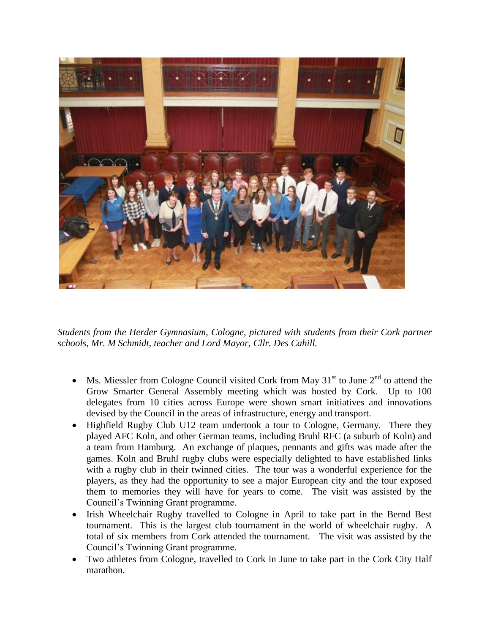

*Students from the Herder Gymnasium, Cologne, pictured with students from their Cork partner schools, Mr. M Schmidt, teacher and Lord Mayor, Cllr. Des Cahill.*

- Ms. Miessler from Cologne Council visited Cork from May  $31<sup>st</sup>$  to June  $2<sup>nd</sup>$  to attend the Grow Smarter General Assembly meeting which was hosted by Cork. Up to 100 delegates from 10 cities across Europe were shown smart initiatives and innovations devised by the Council in the areas of infrastructure, energy and transport.
- Highfield Rugby Club U12 team undertook a tour to Cologne, Germany. There they played AFC Koln, and other German teams, including Bruhl RFC (a suburb of Koln) and a team from Hamburg. An exchange of plaques, pennants and gifts was made after the games. Koln and Bruhl rugby clubs were especially delighted to have established links with a rugby club in their twinned cities. The tour was a wonderful experience for the players, as they had the opportunity to see a major European city and the tour exposed them to memories they will have for years to come. The visit was assisted by the Council's Twinning Grant programme.
- Irish Wheelchair Rugby travelled to Cologne in April to take part in the Bernd Best tournament. This is the largest club tournament in the world of wheelchair rugby. A total of six members from Cork attended the tournament. The visit was assisted by the Council's Twinning Grant programme.
- Two athletes from Cologne, travelled to Cork in June to take part in the Cork City Half marathon.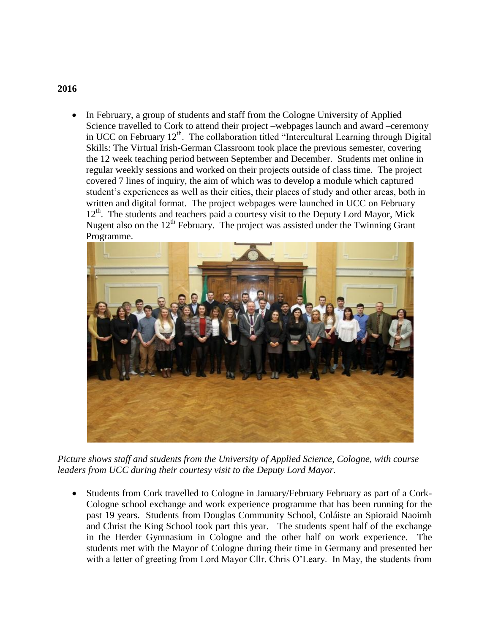### **2016**

• In February, a group of students and staff from the Cologne University of Applied Science travelled to Cork to attend their project –webpages launch and award –ceremony in UCC on February  $12<sup>th</sup>$ . The collaboration titled "Intercultural Learning through Digital Skills: The Virtual Irish-German Classroom took place the previous semester, covering the 12 week teaching period between September and December. Students met online in regular weekly sessions and worked on their projects outside of class time. The project covered 7 lines of inquiry, the aim of which was to develop a module which captured student's experiences as well as their cities, their places of study and other areas, both in written and digital format. The project webpages were launched in UCC on February  $12<sup>th</sup>$ . The students and teachers paid a courtesy visit to the Deputy Lord Mayor, Mick Nugent also on the  $12<sup>th</sup>$  February. The project was assisted under the Twinning Grant Programme.



*Picture shows staff and students from the University of Applied Science, Cologne, with course leaders from UCC during their courtesy visit to the Deputy Lord Mayor.*

 Students from Cork travelled to Cologne in January/February February as part of a Cork-Cologne school exchange and work experience programme that has been running for the past 19 years. Students from Douglas Community School, Coláiste an Spioraid Naoimh and Christ the King School took part this year. The students spent half of the exchange in the Herder Gymnasium in Cologne and the other half on work experience. The students met with the Mayor of Cologne during their time in Germany and presented her with a letter of greeting from Lord Mayor Cllr. Chris O'Leary. In May, the students from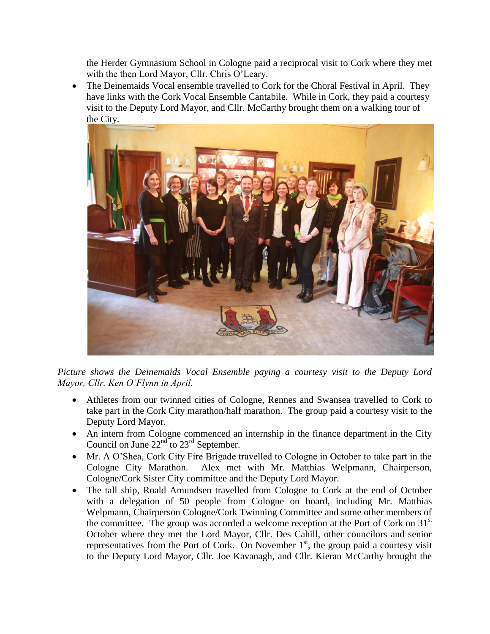the Herder Gymnasium School in Cologne paid a reciprocal visit to Cork where they met with the then Lord Mayor, Cllr. Chris O'Leary.

 The Deinemaids Vocal ensemble travelled to Cork for the Choral Festival in April. They have links with the Cork Vocal Ensemble Cantabile. While in Cork, they paid a courtesy visit to the Deputy Lord Mayor, and Cllr. McCarthy brought them on a walking tour of the City.



*Picture shows the Deinemaids Vocal Ensemble paying a courtesy visit to the Deputy Lord Mayor, Cllr. Ken O'Flynn in April.*

- Athletes from our twinned cities of Cologne, Rennes and Swansea travelled to Cork to take part in the Cork City marathon/half marathon. The group paid a courtesy visit to the Deputy Lord Mayor.
- An intern from Cologne commenced an internship in the finance department in the City Council on June  $22<sup>nd</sup>$  to  $23<sup>rd</sup>$  September.
- Mr. A O'Shea, Cork City Fire Brigade travelled to Cologne in October to take part in the Cologne City Marathon. Alex met with Mr. Matthias Welpmann, Chairperson, Cologne/Cork Sister City committee and the Deputy Lord Mayor.
- The tall ship, Roald Amundsen travelled from Cologne to Cork at the end of October with a delegation of 50 people from Cologne on board, including Mr. Matthias Welpmann, Chairperson Cologne/Cork Twinning Committee and some other members of the committee. The group was accorded a welcome reception at the Port of Cork on  $31<sup>st</sup>$ October where they met the Lord Mayor, Cllr. Des Cahill, other councilors and senior representatives from the Port of Cork. On November  $1<sup>st</sup>$ , the group paid a courtesy visit to the Deputy Lord Mayor, Cllr. Joe Kavanagh, and Cllr. Kieran McCarthy brought the